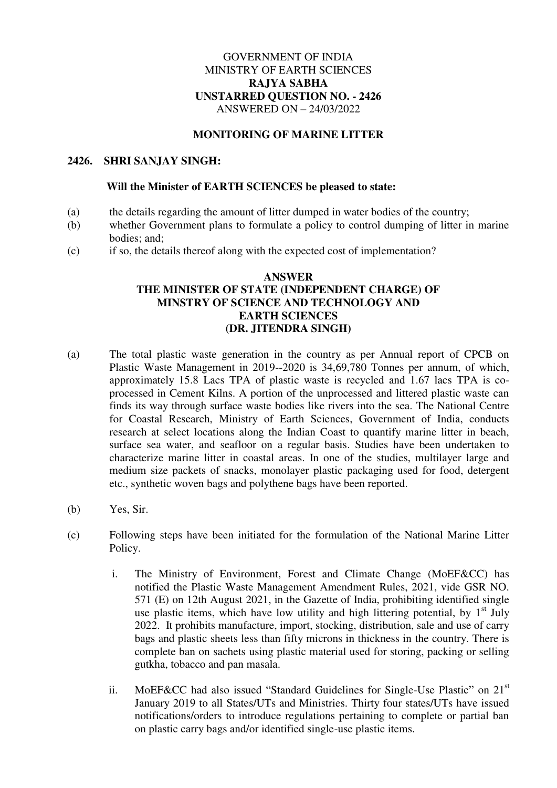# GOVERNMENT OF INDIA MINISTRY OF EARTH SCIENCES **RAJYA SABHA UNSTARRED QUESTION NO. - 2426**  ANSWERED ON – 24/03/2022

### **MONITORING OF MARINE LITTER**

### **2426. SHRI SANJAY SINGH:**

#### **Will the Minister of EARTH SCIENCES be pleased to state:**

- (a) the details regarding the amount of litter dumped in water bodies of the country;
- (b) whether Government plans to formulate a policy to control dumping of litter in marine bodies; and;
- (c) if so, the details thereof along with the expected cost of implementation?

# **ANSWER THE MINISTER OF STATE (INDEPENDENT CHARGE) OF MINSTRY OF SCIENCE AND TECHNOLOGY AND EARTH SCIENCES (DR. JITENDRA SINGH)**

- (a) The total plastic waste generation in the country as per Annual report of CPCB on Plastic Waste Management in 2019--2020 is 34,69,780 Tonnes per annum, of which, approximately 15.8 Lacs TPA of plastic waste is recycled and 1.67 lacs TPA is coprocessed in Cement Kilns. A portion of the unprocessed and littered plastic waste can finds its way through surface waste bodies like rivers into the sea. The National Centre for Coastal Research, Ministry of Earth Sciences, Government of India, conducts research at select locations along the Indian Coast to quantify marine litter in beach, surface sea water, and seafloor on a regular basis. Studies have been undertaken to characterize marine litter in coastal areas. In one of the studies, multilayer large and medium size packets of snacks, monolayer plastic packaging used for food, detergent etc., synthetic woven bags and polythene bags have been reported.
- (b) Yes, Sir.
- (c) Following steps have been initiated for the formulation of the National Marine Litter Policy.
	- i. The Ministry of Environment, Forest and Climate Change (MoEF&CC) has notified the Plastic Waste Management Amendment Rules, 2021, vide GSR NO. 571 (E) on 12th August 2021, in the Gazette of India, prohibiting identified single use plastic items, which have low utility and high littering potential, by  $1<sup>st</sup>$  July 2022. It prohibits manufacture, import, stocking, distribution, sale and use of carry bags and plastic sheets less than fifty microns in thickness in the country. There is complete ban on sachets using plastic material used for storing, packing or selling gutkha, tobacco and pan masala.
	- ii. MoEF&CC had also issued "Standard Guidelines for Single-Use Plastic" on 21<sup>st</sup> January 2019 to all States/UTs and Ministries. Thirty four states/UTs have issued notifications/orders to introduce regulations pertaining to complete or partial ban on plastic carry bags and/or identified single-use plastic items.